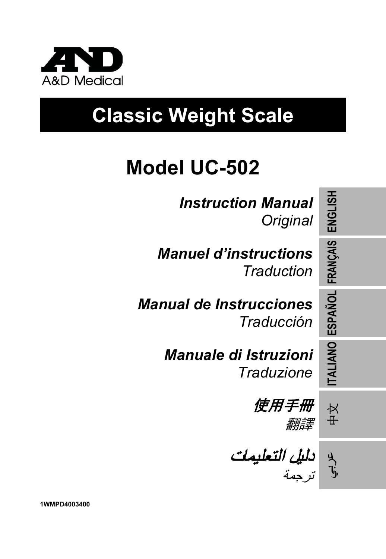

# **Classic Weight Scale**

## **Model UC-502**

*Instruction Manual Original*

*Manuel d'instructions Traduction*

*Manual de Instrucciones Traducción*

> *Manuale di Istruzioni Traduzione*

使用手冊 翻譯

دليل التعليمات ترجمة

عر<br>ول

**ENGLISH**

**FRANÇAIS**

**ESPAÑOL**

**ITALIANO**

中文

**1WMPD4003400**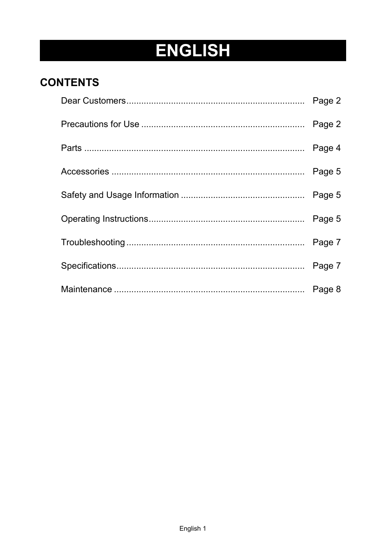## **ENGLISH**

### **CONTENTS**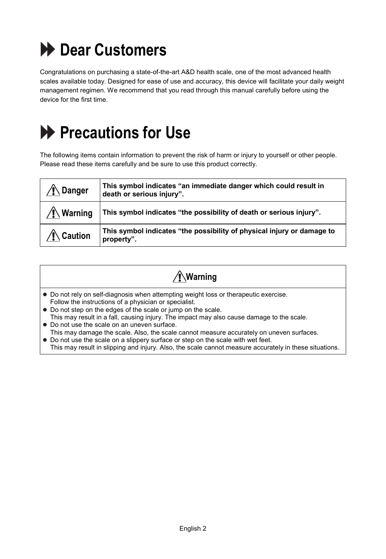

Congratulations on purchasing a state-of-the-art A&D health scale, one of the most advanced health scales available today. Designed for ease of use and accuracy, this device will facilitate your daily weight management regimen. We recommend that you read through this manual carefully before using the device for the first time.

### **Precautions for Use**

The following items contain information to prevent the risk of harm or injury to yourself or other people. Please read these items carefully and be sure to use this product correctly.

| Danger       | This symbol indicates "an immediate danger which could result in<br>death or serious injury". |
|--------------|-----------------------------------------------------------------------------------------------|
| ∕ ¶∖ Warning | This symbol indicates "the possibility of death or serious injury".                           |
| ∕ Caution    | This symbol indicates "the possibility of physical injury or damage to<br>property".          |

| ∕‼∖Warning |  |
|------------|--|
|------------|--|

- Do not rely on self-diagnosis when attempting weight loss or therapeutic exercise. Follow the instructions of a physician or specialist.
- Do not step on the edges of the scale or jump on the scale.
- This may result in a fall, causing injury. The impact may also cause damage to the scale. Do not use the scale on an uneven surface.
- This may damage the scale. Also, the scale cannot measure accurately on uneven surfaces. Do not use the scale on a slippery surface or step on the scale with wet feet.

This may result in slipping and injury. Also, the scale cannot measure accurately in these situations.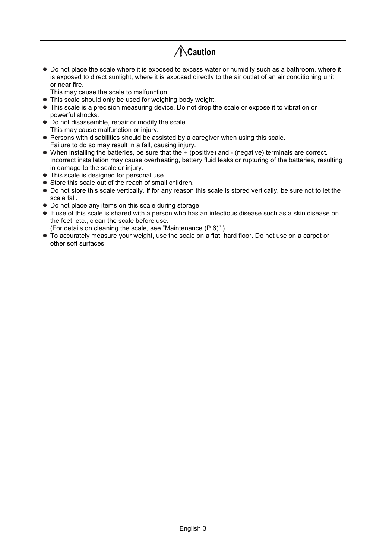| Caution                                                                                                                                                                                                                                                               |
|-----------------------------------------------------------------------------------------------------------------------------------------------------------------------------------------------------------------------------------------------------------------------|
| • Do not place the scale where it is exposed to excess water or humidity such as a bathroom, where it<br>is exposed to direct sunlight, where it is exposed directly to the air outlet of an air conditioning unit,<br>or near fire.                                  |
| This may cause the scale to malfunction.<br>• This scale should only be used for weighing body weight.                                                                                                                                                                |
| • This scale is a precision measuring device. Do not drop the scale or expose it to vibration or<br>powerful shocks.                                                                                                                                                  |
| • Do not disassemble, repair or modify the scale.                                                                                                                                                                                                                     |
| This may cause malfunction or injury.<br>• Persons with disabilities should be assisted by a caregiver when using this scale.                                                                                                                                         |
| Failure to do so may result in a fall, causing injury.                                                                                                                                                                                                                |
| $\bullet$ When installing the batteries, be sure that the $+$ (positive) and $-$ (negative) terminals are correct.<br>Incorrect installation may cause overheating, battery fluid leaks or rupturing of the batteries, resulting<br>in damage to the scale or injury. |
| • This scale is designed for personal use.                                                                                                                                                                                                                            |
| • Store this scale out of the reach of small children.                                                                                                                                                                                                                |
| • Do not store this scale vertically. If for any reason this scale is stored vertically, be sure not to let the<br>scale fall.                                                                                                                                        |
| • Do not place any items on this scale during storage.                                                                                                                                                                                                                |
| $\bullet$ If use of this scale is shared with a person who has an infectious disease such as a skin disease on                                                                                                                                                        |

- If use of this scale is shared with a person who has an infectious disease such as a skin disease on the feet, etc., clean the scale before use.
- (For details on cleaning the scale, see "Maintenance (P.6)".) To accurately measure your weight, use the scale on a flat, hard floor. Do not use on a carpet or other soft surfaces.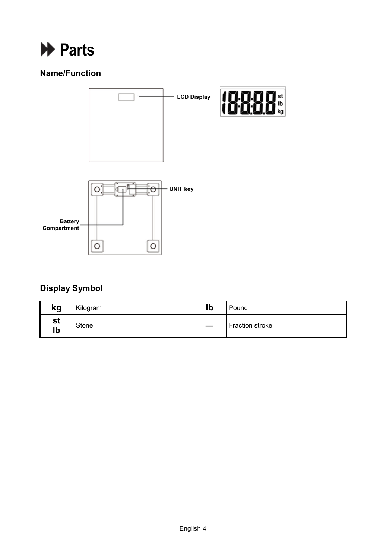

### **Name/Function**



### **Display Symbol**

| kg       | Kilogram | lb | Pound           |
|----------|----------|----|-----------------|
| st<br>lb | Stone    |    | Fraction stroke |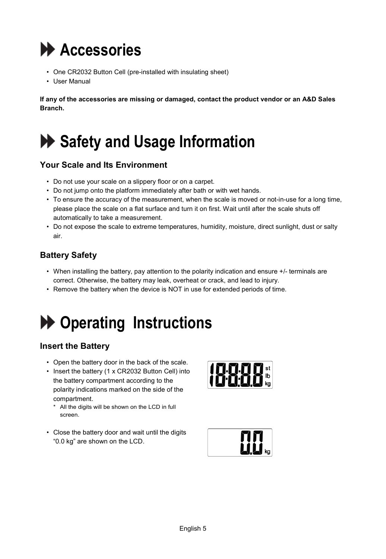

- One CR2032 Button Cell (pre-installed with insulating sheet)
- User Manual

**If any of the accessories are missing or damaged, contact the product vendor or an A&D Sales Branch.**

### **Safety and Usage Information**

### **Your Scale and Its Environment**

- Do not use your scale on a slippery floor or on a carpet.
- Do not jump onto the platform immediately after bath or with wet hands.
- To ensure the accuracy of the measurement, when the scale is moved or not-in-use for a long time, please place the scale on a flat surface and turn it on first. Wait until after the scale shuts off automatically to take a measurement.
- Do not expose the scale to extreme temperatures, humidity, moisture, direct sunlight, dust or salty air.

### **Battery Safety**

- When installing the battery, pay attention to the polarity indication and ensure +/- terminals are correct. Otherwise, the battery may leak, overheat or crack, and lead to injury.
- Remove the battery when the device is NOT in use for extended periods of time.

### **Operating Instructions**

### **Insert the Battery**

- Open the battery door in the back of the scale.
- Insert the battery (1 x CR2032 Button Cell) into the battery compartment according to the polarity indications marked on the side of the compartment.
	- \* All the digits will be shown on the LCD in full screen.
- Close the battery door and wait until the digits "0.0 kg" are shown on the LCD.



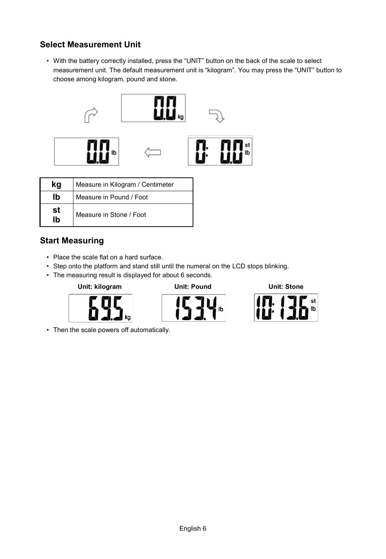### **Select Measurement Unit**

• With the battery correctly installed, press the "UNIT" button on the back of the scale to select measurement unit. The default measurement unit is "kilogram". You may press the "UNIT" button to choose among kilogram, pound and stone.



|          | Measure in Kilogram / Centimeter |  |
|----------|----------------------------------|--|
| Ib       | Measure in Pound / Foot          |  |
| st<br>Ih | Measure in Stone / Foot          |  |

### **Start Measuring**

- Place the scale flat on a hard surface.
- Step onto the platform and stand still until the numeral on the LCD stops blinking.
- The measuring result is displayed for about 6 seconds.







• Then the scale powers off automatically.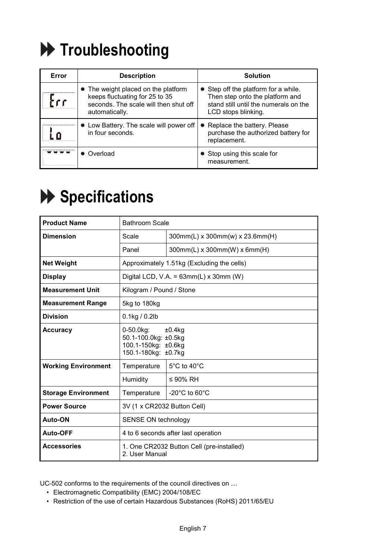

| Error | <b>Description</b>                                                                                                               | <b>Solution</b>                                                                                                                         |  |
|-------|----------------------------------------------------------------------------------------------------------------------------------|-----------------------------------------------------------------------------------------------------------------------------------------|--|
|       | • The weight placed on the platform<br>keeps fluctuating for 25 to 35<br>seconds. The scale will then shut off<br>automatically. | • Step off the platform for a while.<br>Then step onto the platform and<br>stand still until the numerals on the<br>LCD stops blinking. |  |
|       | • Low Battery. The scale will power off<br>in four seconds.                                                                      | • Replace the battery. Please<br>purchase the authorized battery for<br>replacement.                                                    |  |
|       | Overload                                                                                                                         | Stop using this scale for<br>measurement.                                                                                               |  |

## **Specifications**

| <b>Product Name</b>        | <b>Bathroom Scale</b>                                                                           |                                    |
|----------------------------|-------------------------------------------------------------------------------------------------|------------------------------------|
| <b>Dimension</b>           | Scale                                                                                           | 300mm(L) x 300mm(w) x 23.6mm(H)    |
|                            | Panel                                                                                           | 300mm(L) x 300mm(W) x 6mm(H)       |
| <b>Net Weight</b>          | Approximately 1.51kg (Excluding the cells)                                                      |                                    |
| <b>Display</b>             | Digital LCD, V.A. = $63mm(L)$ x 30mm (W)                                                        |                                    |
| <b>Measurement Unit</b>    | Kilogram / Pound / Stone                                                                        |                                    |
| <b>Measurement Range</b>   | 5kg to 180kg                                                                                    |                                    |
| <b>Division</b>            | $0.1$ kg / $0.2$ lb                                                                             |                                    |
| Accuracy                   | $0-50.0$ kg:<br>$±0.4$ ka<br>50.1-100.0kg: ±0.5kg<br>100.1-150kg: ±0.6kg<br>150.1-180kg: ±0.7kg |                                    |
| <b>Working Environment</b> | 5°C to 40°C<br>Temperature                                                                      |                                    |
|                            | Humidity                                                                                        | ≤ 90% RH                           |
| <b>Storage Environment</b> | Temperature                                                                                     | $-20^{\circ}$ C to 60 $^{\circ}$ C |
| <b>Power Source</b>        | 3V (1 x CR2032 Button Cell)                                                                     |                                    |
| Auto-ON                    | SENSE ON technology                                                                             |                                    |
| Auto-OFF                   | 4 to 6 seconds after last operation                                                             |                                    |
| <b>Accessories</b>         | 1. One CR2032 Button Cell (pre-installed)<br>2. User Manual                                     |                                    |

UC-502 conforms to the requirements of the council directives on …

- Electromagnetic Compatibility (EMC) 2004/108/EC
- Restriction of the use of certain Hazardous Substances (RoHS) 2011/65/EU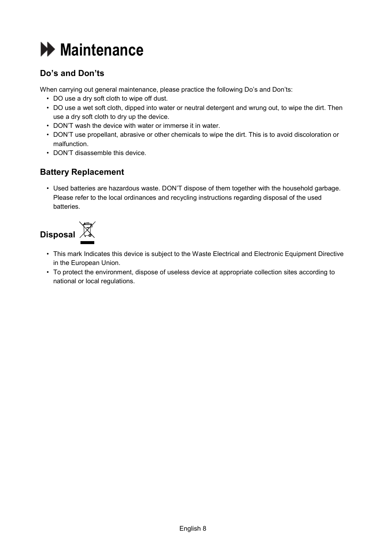

### **Do's and Don'ts**

When carrying out general maintenance, please practice the following Do's and Don'ts:

- DO use a dry soft cloth to wipe off dust.
- DO use a wet soft cloth, dipped into water or neutral detergent and wrung out, to wipe the dirt. Then use a dry soft cloth to dry up the device.
- DON'T wash the device with water or immerse it in water.
- DON'T use propellant, abrasive or other chemicals to wipe the dirt. This is to avoid discoloration or malfunction.
- DON'T disassemble this device.

### **Battery Replacement**

• Used batteries are hazardous waste. DON'T dispose of them together with the household garbage. Please refer to the local ordinances and recycling instructions regarding disposal of the used batteries.



- This mark Indicates this device is subject to the Waste Electrical and Electronic Equipment Directive in the European Union.
- To protect the environment, dispose of useless device at appropriate collection sites according to national or local regulations.